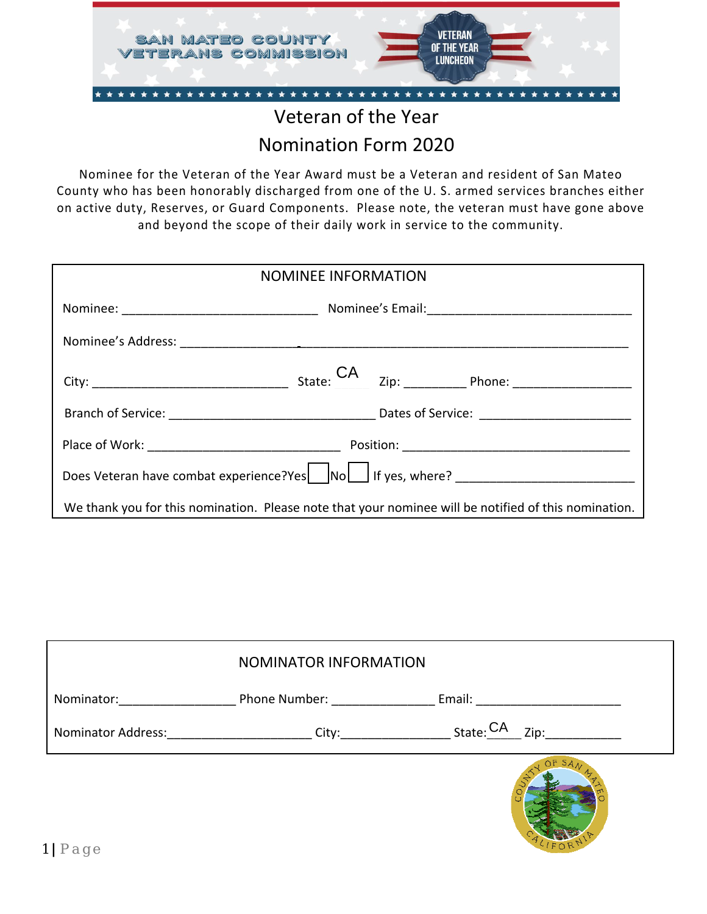

## Nomination Form 2020

Nominee for the Veteran of the Year Award must be a Veteran and resident of San Mateo County who has been honorably discharged from one of the U. S. armed services branches either on active duty, Reserves, or Guard Components. Please note, the veteran must have gone above and beyond the scope of their daily work in service to the community.

| <b>NOMINEE INFORMATION</b>                                                                           |  |  |
|------------------------------------------------------------------------------------------------------|--|--|
|                                                                                                      |  |  |
|                                                                                                      |  |  |
|                                                                                                      |  |  |
|                                                                                                      |  |  |
|                                                                                                      |  |  |
| Does Veteran have combat experience?Yes Nollas If yes, where? ___________________                    |  |  |
| We thank you for this nomination. Please note that your nominee will be notified of this nomination. |  |  |

|                    | NOMINATOR INFORMATION                      |                           |
|--------------------|--------------------------------------------|---------------------------|
| Nominator:         | Phone Number: North States                 | Email:                    |
| Nominator Address: | <u>_________________City:_____________</u> | State: $CA$ $_{\rm Zip:}$ |
|                    |                                            |                           |

LIFORN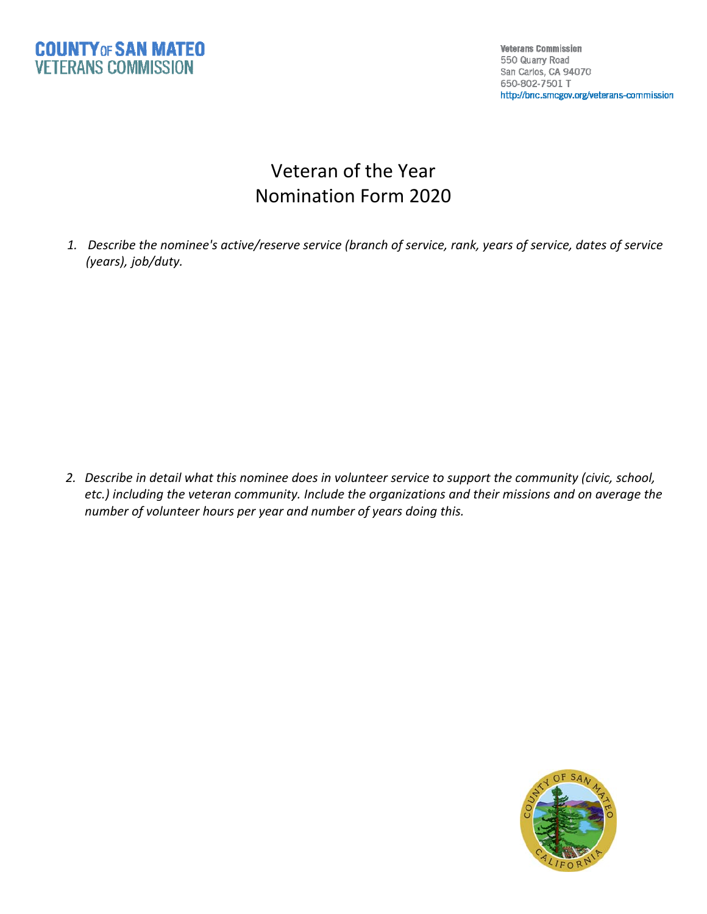

**Veterans Commission** 550 Quarry Road San Carlos, CA 94070 650-802-7501 T http://bnc.smcgov.org/veterans-commission

## Veteran of the Year Nomination Form 2020

*1. Describe the nominee's active/reserve service (branch of service, rank, years of service, dates of service (years), job/duty.*

2. Describe in detail what this nominee does in volunteer service to support the community (civic, school, *etc.) including the veteran community. Include the organizations and their missions and on average the number of volunteer hours per year and number of years doing this.*